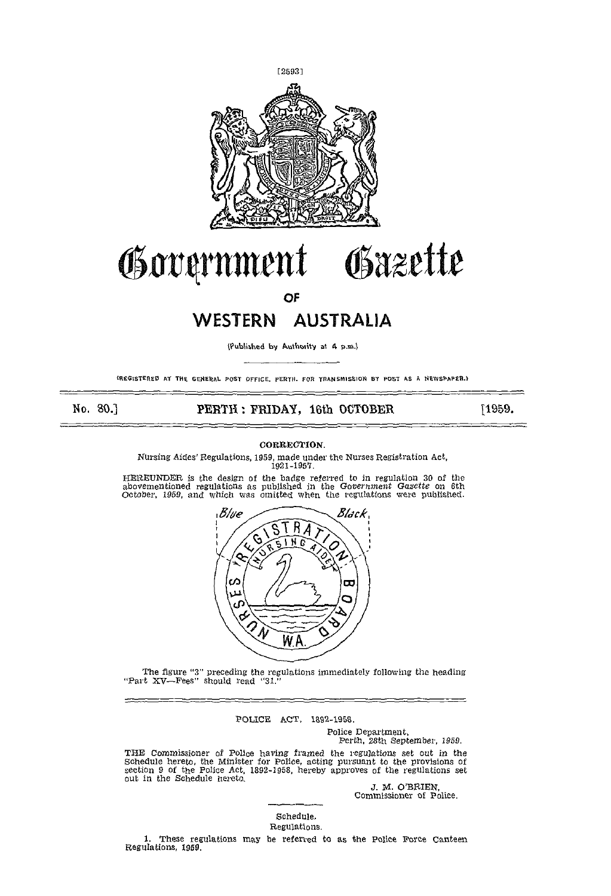

# Government Gazette

OF

# WESTERN AUSTRALIA

(Published by Authority at 4 p.m.)

(REGISTERED AT THE GENERAL POST OFFICE. PERTH. FOR TRANSMISSION BY POST AS A NEWSPAPER.)

# No. 30.] **PERTH: FRIDAY, 16th OCTOBER** [1959.

# CORRECTION.

Nursing Aides' Regulations, 1959, made under the Nurses Registration Act, 1921-1957.

hEREUNDER is the design of the badge referred to in regulation 30 of the abovementioned regulations as published in the Government Gazette on 6th October, 1959, and which was omitted when the reflations were published.



The figure "3" preceding the regulations immediately following the heading Part XV—Fees" should read "31."

POLICE ACT, 1892-1958.

Police Department, Perth, 28th September, 1950.

THE Commissioner of Police having framed the regulations set out in the Schedule hereto, the Minister for Police, acting pursuant to the provisions of section 9 of the Police Act, 1892-1958, hereby approves of the regulati

Commissioner of Police.

# Schedule.

Regulations.

1. These regulations may be referred to as the Police Force Canteen Regulations, 1959.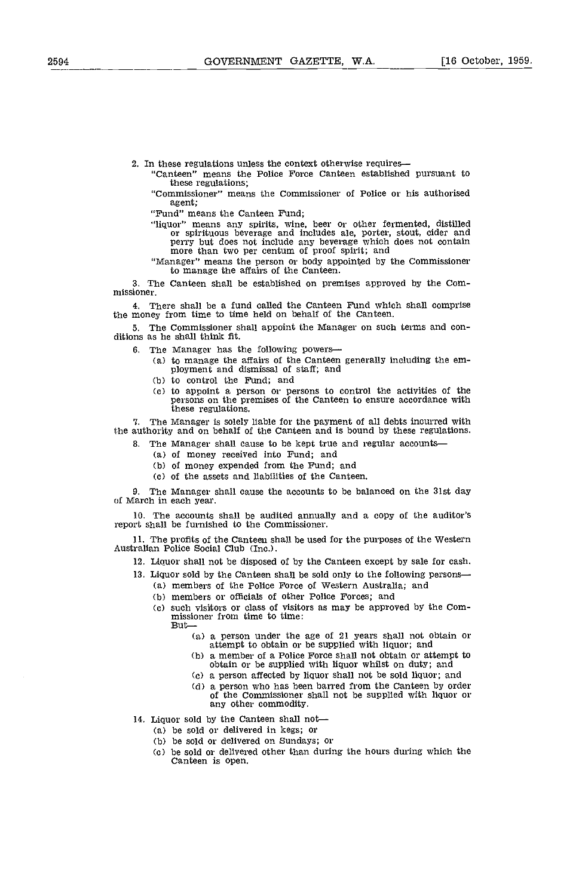2. In these regulations unless the context otherwise requires—<br>"Canteen" means the Police Force Canteen established pursuant to these regulations;

'Commissioner" means the Commissioner of Police or his authorised agent;

"Fund" means the Canteen Fund;

"liquor" means any spirits, wine, beer or other fermented, distilled or spirituous beverage and includes ale, porter, stout, cider and perry but does not include any beverage which does not contain more than two per centum of proof spirit; and

"Manager" means the person or body appointed by the Commissioner to manage the affairs of the Canteen.

The Canteen shall be established on premises approved by the Com- missioner.

There shall be a fund called the Canteen Fund which shall comprise the money from time to time held on behalf of the Canteen.

The Commissioner shall appoint the Manager on such terms and con- ditions as he shall think fit.

- 6, The Manager has the following powers
	- to manage the affairs of the Canteen generally including the em- ployment and dismissal of staff; and
	- (b) to control the Fund; and
	- to appoint a person or persons to control the activities of the persons on the premises of the Canteen to ensure accordance with these regulations.

7. The Manager is solely liable for the payment of all debts incurred with the authority and on behalf of the Canteen and is bound by these regulations.

- 3. The Manager shall cause to be kept true and regular accounts-<br>(a) of money received into Fund; and
	-
	- (b) of money expended from the Fund; and
	- of the assets and liabilities of the Canteen.

9. The Manager shall cause the accounts to be balanced on the 31st day of March in each year.

10. The accounts shall be audited annually and a copy of the auditor's report shall be furnished to the Commissioner.

11. The profits of the Canteen shall be used for the purposes of the Western Australian Police Social Club (Inc.).

12. Liquor shall not be disposed of by the Canteen except by sale for cash.

- 13. Liquor sold by the Canteen shall be sold only to the following persons members of the police Force of Western Australia; and
	- members or officials of other Police Forces; and
	- (c) such visitors or class of visitors as may be approved by the Com-<br>missioner from time to time:<br> $\text{But--}$ 
		- a person under the age of 21 years shall not obtain or attempt to obtain or be supplied with liquor; and
		- a member of a Police Force shall not obtain or attempt to obtain or be supplied with liquor whilst on duty; and
		- a person affected by liquor shall not be sold liquor; and
		- a person who has been barred from the Canteen by order of the Commissioner shall not be supplied with liquor or any other commodity.
- 14. Liquor sold by the Canteen shall not— $(a)$  be sold or delivered in kegs; or
	-
	- be sold or delivered on Sundays; or
	- be sold or delivered other than during the hours during which the Canteen is open.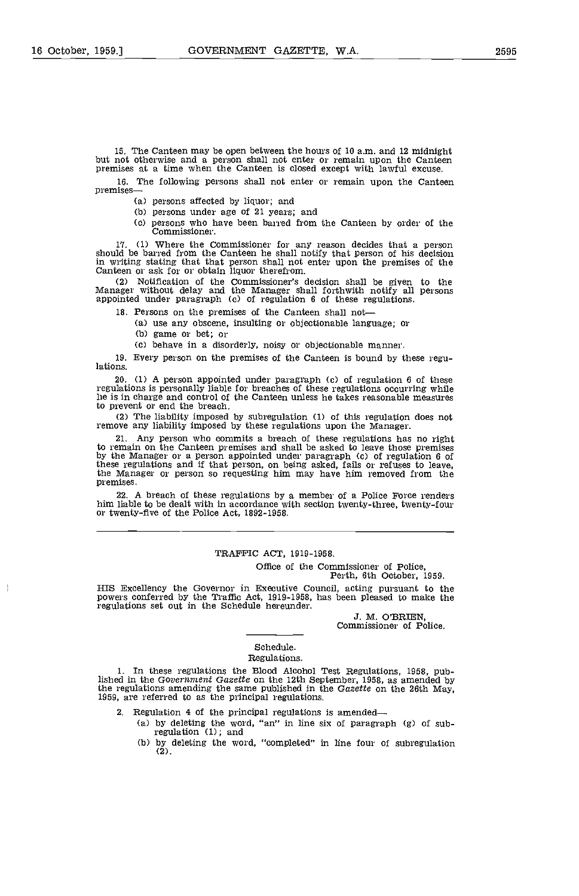15. The Canteen may be open between the hours of 10 am. and 12 midnight but not otherwise and a person shall not enter or remain upon the Canteen premises at a time when the Canteen is closed except with lawful excuse.

16. The following persons shall not enter or remain upon the Canteen premises

(a) persons affected by liquor; and

(b) persons under age of 21 years; and

Cc) persons who have been barred from the Canteen by order of the Commissioner.

17. (1) Where the Commissioner for any reason decides that a person should be barred from the Canteen he shall notify that person of his decision in writing stating that that person shall not enter upon the premises of th

(2) Notification of the Commissioner's decision shall be given to the Manager without delay and the Manager shall forthwith notify all persons appointed under paragraph Cc) of regulation 6 of these regulations.

18. Persons on the premises of the Canteen shall not

- (a) use any obscene, insulting or objectionable language; or  $(b)$  game or bet; or
	-

behave in a disorderly, noisy or objectionable manner.

19. Every person on the premises of the Canteen Is bound by these regulations.

20. (1) A person appointed under paragraph (c) of regulation 6 of these regulations is personally liable for breaches of these regulations occurring while he is in charge and control of the Canteen unless he takes reasonable measures to prevent or end the breach.

(2) The liability imposed by subregulation (1) of this regulation does not remove any liability imposed by these regulations upon the Manager.

21. Any person who commits a breach of these regulations has no right to remain on the Canteen premises and shall be asked to leave those premises to remain on the Canteen premises and shall be asked to leave those premises by the Manager or a person appointed under paragraph Cc) of regulation 6 of these regulations and if that person, on being asked, fails or refuses to leave, the Manager or person so requesting him may have him removed from the premises.

22. A breach of these regulations by a member of a Police Force renders him liable to be dealt with in accordance with section twenty-three, twenty-four or twenty-five of the Police Act, 1892-1958.

# TRAFFIC ACT, 1919-1958.

Office of the Commissioner of Police, Perth, 6th October, 1959.

HIS Excellency the Governor in Executive Council, acting pursuant to the powers conferred by the Traffic Act, 1919-1958, has been pleased to make the regulations set out in the Schedule hereunder.

> J. M. O'BRIEN, Commissioner of Police.

### Schedule. Regulations.

In these regulations the Blood Alcohol Test Regulations, 1958, published in the Government Gazette on the 12th September, 1958, as amended by the regulations amending the same published in the Gazette on the 26th May, 1959, are referred to as the principal regulations.

2. Regulation 4 of the principal regulations is amended—

- by deleting the word, "an" in line six of paragraph (g) of subregulation (1); and
	- by deleting the word, "completed" in line four of subregulation  $(b)$ (2).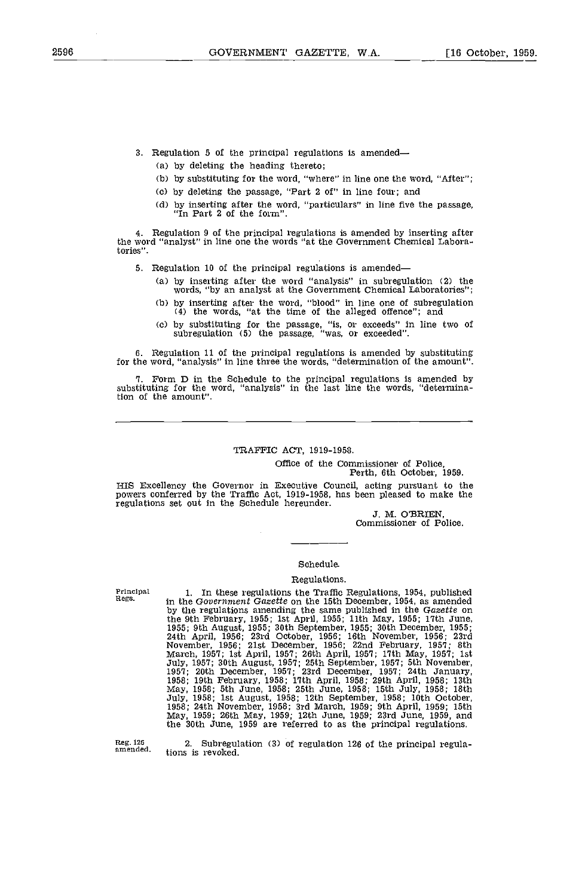- 3. Regulation 5 of the principal regulations is amended
	- by deleting the heading thereto;
	- by substituting for the word, "where" in line one the word, "After";
	- by deleting the passage, "Part 2 of" in line four; and
	- by inserting after the word, "particulars" in line five the passage, "In Part 2 of the form".

4. Regulation 9 of the principal regulations is amended by inserting after the word "analyst" in line one the words "at the Government Chemical Laboratories",

- 5. Regulation 10 of the principal regulations is amended
	- by inserting after the word "analysis" in subregulation (2) the words, "by an analyst at the Government Chemical Laboratories";
	- by inserting after the word, "blood" in line one of subregulation (4) the words, "at the time of the alleged offence"; and
	- by substituting for the passage, "is, or exceeds" in line two of subregulation (5) the passage, "was, or exceeded".

6. Regulation 11 of the principal regulations is amended by substituting for the word, "analysis" in line three the words, "determination of the amount".

1. Form D in the Schedule to the principal regulations is amended by substituting for the word, "analysis" in the last line the words, "determinalion of the amount",

# TRAFFIC ACT, 1919-1958.

Office of the Commissioner of Police, Perth, 6th October, 1959.

HIS Excellency the Governor in Executive Council, acting pursuant to the powers conferred by the Traffic Act, 1919-1958, has been pleased to make the regulations set out in the Schedule hereunder.

J. M. O'BRIEN, Commissioner of Police.

## Schedule.

## Regulations.

Principal Regs.

1. In these regulations the Traffic Regulations, 1954, published in the Government Gazette on the 15th December, 1954, as amended by the regulations amending the same published in the Gazette on the 9th February, 1955; 1st April, 1955; 11th May, 1955; 17th June, 1955; 9th August, 1955; 30th September, 1955; 30th December, 1955; 24th April, 1956; 23rd October, 1956; 16th November, 1956; 23rd November, 1956; 23rd No July, 1958; 1st August, 1958; 12th September, 1958; 10th October, 1958; 24th November, 1958; 3rd March 1959; 9th April, 1959; 15th May, 1959; 26th May, 1959; 12th June 1959; 23rd June, 1959, and the 30th June, 1959 are referred to as the principal regulations.

Reg. 126 amended.

2, Subregulation (3) of regulation 126 of the principal regulations is revoked.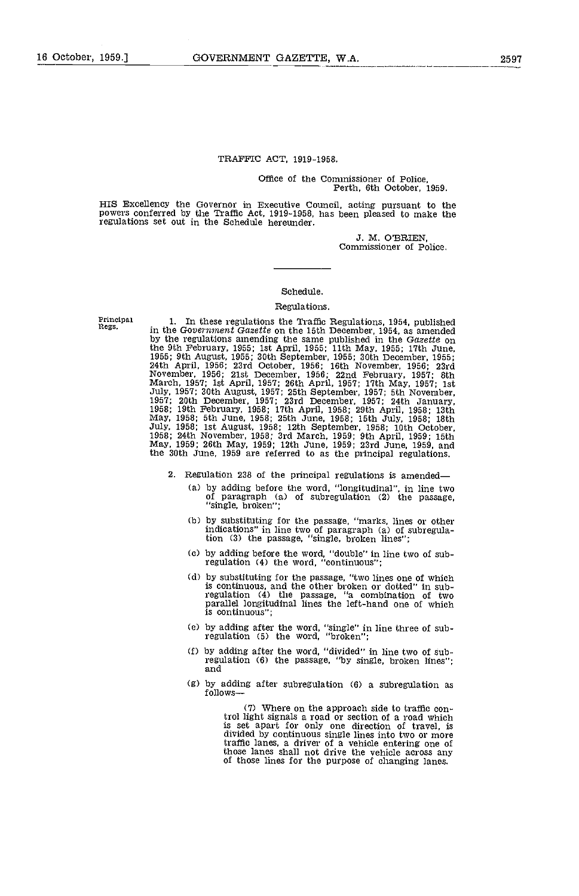### TRAFFIC ACT, 1919-1958.

Office of the Commissioner of Police, Perth, 6th October, 1959.

HIS Excellency the Governor in Executive Council, acting pursuant to the powers conferred by the Traffic Act, 1919-1958, has been pleased to make the regulations set out in the Schedule hereunder.

J. M. O'BRIEN, Commissioner of Police.

# Schedule.

#### Regulations.

Principal<br>Regs.

In these regulations the Traffic Regulations, 1954, published in the Government Gazette on the 15th December, 1954, as amended by the regulations amending the same published in the Gazette on by the regulations amending the same published in the Gazette on<br>the 9th February, 1955; 1st April, 1955; 11th May, 1955; 17th June,<br>1955; 9th August, 1955; 30th September, 1955; 30th December, 1956;<br>24th April, 1956; 23r July, 1958; 1st August, 1958; 12th September, 1958; 10th October, 1958; 24th November, 1958; 3rd March 1959; 9th April, 1959; 15th May, 1959; 26th May, 1959; 12th June 1959; 23rd June, 1959, and the 30th June, 1959 are referred to as the principal regulations.

- 2. Regulation 238 of the principal regulations is amended
	- by adding before the word, "longitudinal", in line two of paragraph (a) of subregulation (2) the passage, "single, broken";
	- by substituting for the passage, "marks, lines or other indications" in line two of paragraph (a) of subregula-tion (3) the passage, "single, broken lines";
	- by adding before the word, "double" in line two of sub- regulation (4) the word, "continuous";
	- by substituting for the passage, "two lines one of which<br>is continuous, and the other broken or dotted" in sub-<br>regulation (4) the passage, "a combination of two<br>parallel longitudinal lines the left-hand one of which is continuous";
	- by adding after the word, "single" in line three of sub- regulation (5) the word, "broken";
	- (f) by adding after the word, "divided" in line two of sub-<br>regulation (6) the passage, "by single, broken lines";<br>and
	- (g) by adding after subregulation (6) a subregulation as follows

(7) where on the approach side to traffic control light signals a road or section of a road which is set apart for only one direction of travel, is divided by continuous single lines into two or more traffic lanes, a driver of a vehicle entering one of those lanes shall not drive the vehicle across any of those lines for the purpose of changing lanes.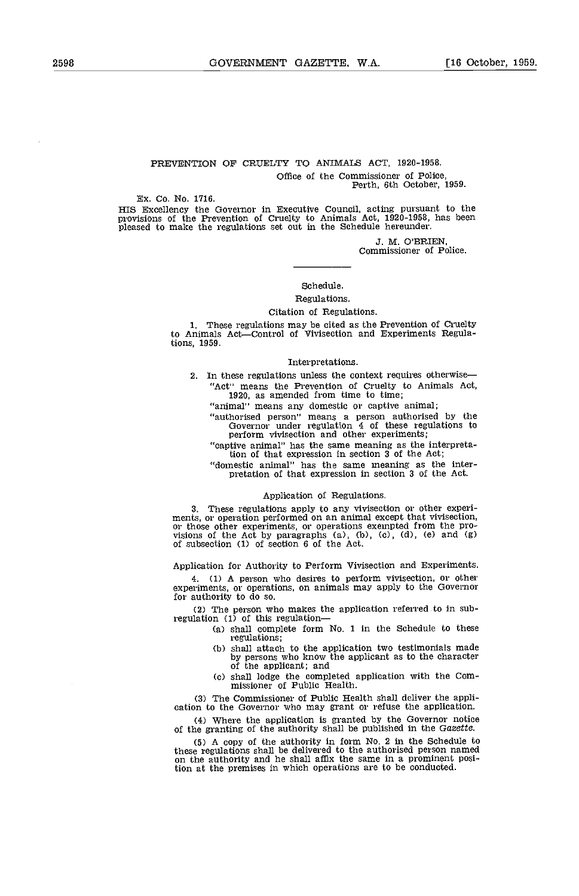# PREVENTION OP CRUELTY TO ANIMALS ACT, 1920-1958 Office of the Commissioner of Police, Perth, 6th October, 1959.

#### Ex. Co. No. 1716.

HIS Excellency the Governor in Executive Council, acting pursuant to the provisions of the Prevention of Cruelty to Animals Act, 1920-1958, has been pleased to make the regulations set out in the Schedule hereunder.

J. M. O'BRIEN, Commissioner of Police.

# Schedule.

# Regulations.

# Citation of Regulations.

1. These regulations may be cited as the Prevention of Cruelty<br>to Animals Act—Control of Vivisection and Experiments Regulations, 1959.

## Interpretations.

2. In these regulations unless the context requires otherwise-"Act" means the Prevention of Cruelty to Animals Act, 1920, as amended from time to time;

"animal" means any domestic or captive animal;

"authorised person" means a person authorised by the Governor under regulation 4 of these regulations to perform vivisection and other experiments;

"captive animal" has the same meaning as the interpretation of that expression in section 3 of the Act;

"domestic animal" has the same meaning as the inter- pretation of that expression in section 3 of the Act.

# Application of Regulations.

3. These regulations apply to any vivisection or other experiments, or operation performed on an animal except that vivisection, or those other experiments, or operations exempted from the provisions of the Act by paragra

Application for Authority to Perform Vivisection and Experiments.

(1) A person who desires to perform vivisection, or other experiments, or operations, on animals may apply to the Governor for authority to do so.

(2) The person who makes the application referred to in sub-regulation (1) of this regulation—

- (a) shall complete form  $No. 1$  in the Schedule to these regulations;
- (b) shall attach to the application two testimonials made by persons who know the applicant as to the character of the applicant; and
- shall lodge the completed application with the Com- missioner of Public Health.

(3) The Commissioner of Public Health shall deliver the appli- cation to the Governor who may grant or refuse the application.

(4) Where the application is granted by the Governor notice of the granting of the authority shall be published in the Gazette.

CS) A copy of the authority in form No. 2 in the Schedule to these regulations shall be delivered to the authorised person named on the authority and he shall affix the same in a prominent position at the premises in which operations are to be conducted.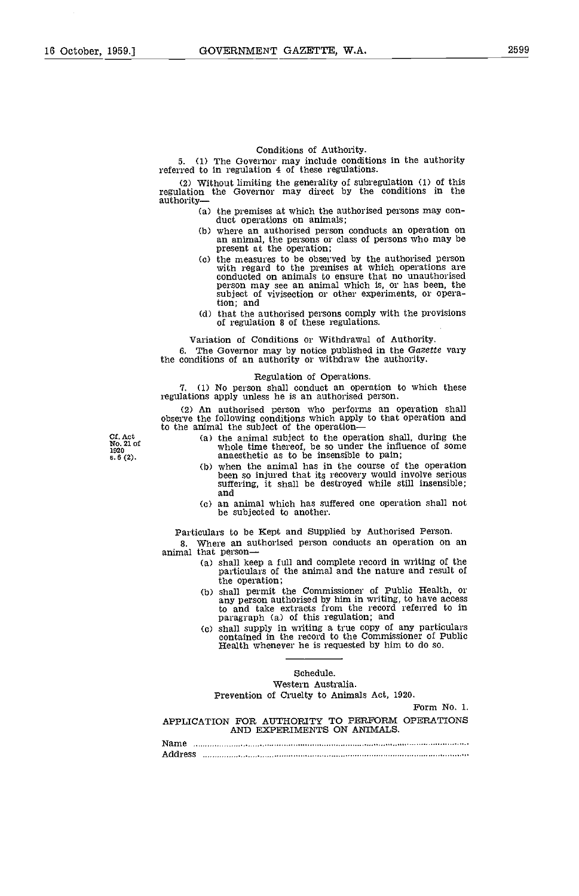#### Conditions of Authority.

5. (1) The Governor may include conditions in the authority referred to in regulation 4 of these regulations.

(2) Without limiting the generality of subregulation (1) of this regulation the Governor may direct by the conditions in the authority

- the premises at which the authorised persons may con- duct operations on animals; where an authorised person conducts an operation on
- an animal, the persons or class of persons who may be present at the operation;
- the measures to be observed by the authorised person with regard to the premises at which operations are conducted on animals to ensure that no unauthorised person may see an animal which is, or has been, the subject of vivisection or other experiments, or operation; and
- that the authorised persons comply with the provisions of regulation S of these regulations.

Variation of Conditions or Withdrawal of Authority.

6. The Governor may by notice published in the Gazette vary the conditions of an authority or withdraw the authority.

#### Regulation of Operations.

1. (1) No person shall conduct an operation to which these regulations apply unless he is an authorised person.

(2) An authorised person who performs an operation shall observe the following conditions which apply to that operation and to the animal the subject of the operation

the animal subject to the operation shall, during the whole time thereof, be so under the influence of some anaesthetic as to be insensible to pain; when the animal has in the course of the operation

- been so injured that its recovery would involve serious suffering, it shall be destroyed while still insensible; and
- an animal which has suffered one operation shall not be subjected to another.

Particulars to be Kept and Supplied by Authorised Person.

Where an authorised person conducts an operation on an animal that person

- shall keep a full and complete record in writing of the particulars of the animal and the nature and result of
- the operation;<br>shall permit the Commissioner of Public Health, or<br>any person authorised by him in writing, to have access to and take extracts from the record referred to in paragraph (a) of this regulation; and
- shall supply in writing a true copy of any particulars contained in the record to the Commissioner of Public Health whenever he is requested by him to do so.

# Schedule.

Western Australia.

Prevention of Cruelty to Animals Act, 1920.

Form No. 1.

# APPLICATION FOR AUThORITY TO PERFORM OPERATIONS AND EXPERIMENTS ON ANIMALS.

Name Address

Cf. Act No. 21 of 1920  $5.6(2)$ .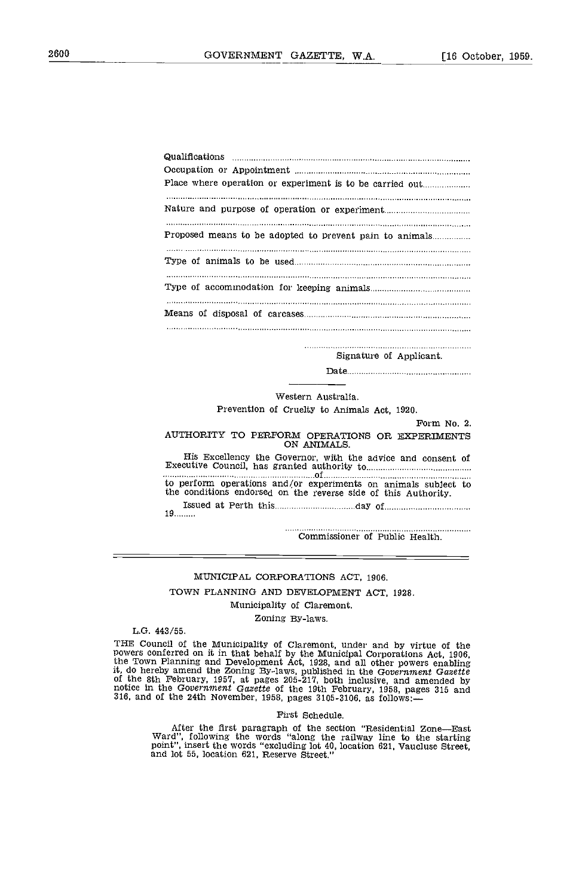| Proposed means to be adopted to prevent pain to animals |
|---------------------------------------------------------|
|                                                         |
|                                                         |
|                                                         |
|                                                         |

Signature of Applicant.

Date

# Western Australia. Prevention of Cruelty to Animals Act, 1920.

Form No. 2.

### AUTHORITY TO PERFORM OPERATIONS OR EXPERIMENTS ON ANIMALS.

His Excellency the Governor, with the advice and consent of Executive Council, has granted authority to of to perform operations and/or experiments on animals subject to the conditions endorsed on the reverse side of this Authority. Issued at Perth this day of 19.........

Commissioner of Public Health.

# MUNICIPAL CORPORATIONS ACT, 1906.

TOWN PLANNING AND DEVELOPMENT ACT, 1928.

Municipality of Claremont.

Zoning By-laws.

L.G. 443/55.

THE Council of the Municipality of Claremont, under and by virtue of the<br>powers conferred on it in that behalf by the Municipal Corporations Act, 1906,<br>the Town Planning and Development Act, 1928, and all other powers enab it, do hereby amend the Zoning By-laws, published in the Government Gareette of the 8th February, 1957, at pages 205-217, both inclusive, and amended by notice in the Government Gazette of the 19th February, 1958, pages 315 and 316, and of the 24th November, 1958, pages 3105-3106, as follows:—

#### First Schedule.

After the first paragraph of the section "Residential Zone—East Ward", following the words "along the railway line to the starting point", insert the words "excluding lot 40, location 621, Vaucluse Street, and lot 55, location 621, Reserve Street,"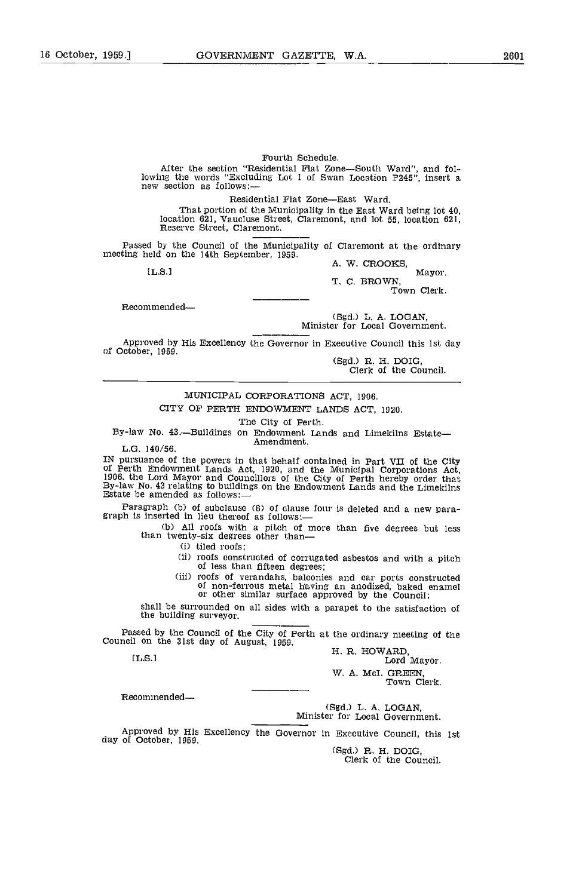#### Fourth Schedule.

After the section "Residential Flat Zone-South Ward", and following the words "Excluding Lot 1 of Swan Location P245", insert a new section as follows:—

Residential Flat Zone—East Ward.<br>That portion of the Municipality in the East Ward being lot 40, Iocation 621, Vaucluse Street, Claremont, and lot 55, location 621, Reserve Street, Claremont.

Passed by the Council of the Municipality of Claremont at the ordinary mecting held on the 14th September, 1959.<br>A. W. CROOKS, [L.S.] Mayor.

T. C. BROWN,

Town Clerk,

Recommended

(Sgd.) L. A. LOGAN, Minister for Local Government.

Approved by His Excellency the Governor in Executive Council this 1st day of October, 1959.

(Sgd.) R. H. DOIG, Clerk of the Council.

# MUNICIPAL CORPORATIONS ACT, 1906.

CITY OF PERTH ENDOWMENT LANDS ACT, 1920.

The City of Perth.<br>By-law No. 43.—Buildings on Endowment Lands and Limekilns Estate—<br>Amendment.

L.G, 140/56.

IN pursuance of the powers in that behalf contained in Part VII of the City of Perth Endowment Lands Act, 1920, and the Municipal Corporations Act, 1906, the Lord Mayor and Councillors of the City of Perth hereby order that By-law No. 43 relating to buildings on the Endowment Lands and the Limekil

Paragraph (b) of subclause (8) of clause four is deleted and a new paragraph is inserted in lieu thereof as follows:—

(b) All roofs with a pitch of more than five degrees but less than twenty-six degrees other than-

(i) tiled roofs;

(ii) roofs constructed of corrugated asbestos and with a pitch of less than fifteen degrees;

(iii) roofs of verandahs, balconies and car ports constructed of non-ferrous metal having an anodized, baked enamel or other similar surface approved by the Council;

shall be surrounded on all sides with a parapet to the satisfaction of the building surveyor.

Passed by the Council of the City of Perth at the ordinary meeting of the Council on the 31st day of August, 1959.<br>H. R. HOWARD, Lord Mayor.<br>Lord Mayor.

W. A. McI. GREEN,<br>Town Clerk,

Recommended-

(Sgd.) L. A. LOGAN, Minister for Local Government.

Approved by His Excellency the Governor in Executive Council, this 1st day of October, 1959.

(Sgd.) R. H. DOIG, Clerk of the Council.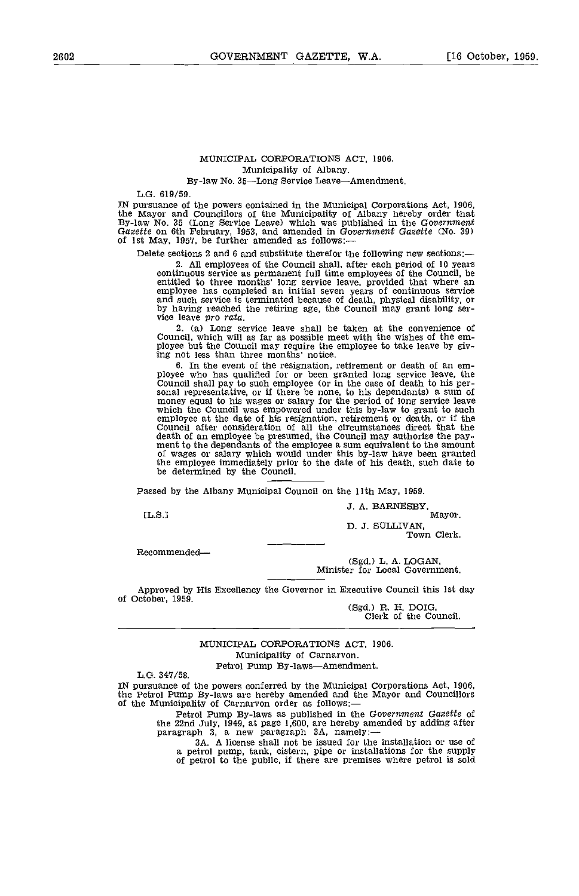# MUNICIPAL CORPORATIONS ACT, 1906. Municipality of Albany.

# By-law No. 35-Long Service Leave-Amendment.

L.G. 619/59.

IN pursuance of the powers contained in the Municipal Corporations Act, 1906, the Mayor and Councillors of the Municipality of Albany hereby order that By-law No. 35 (Long Service Leave) which was published in the Governme

Delete sections 2 and 6 and substitute therefor the following new sections:—<br>2. All employees of the Council shall, after each period of 10 years 2. All employees of the Council shall, after each period of 10 years continuous service as permanent full time employees of the Council, be entitled to three months' long service leave, provided that where an employee has completed an initial seven years of continuous service and such service is terminated because of death, physical disability, or by having reached the retiring age, the Council may grant long ser-<br>vice leave *pro rata*.

2. (a) Long service leave shall be taken at the convenience of Council, which will as far as possible meet with the wishes of the em- ployee but the Council may require the employee to take leave by giving not less than three months' notice.

the event of the resignation, retirement or death of an em-<br>ployee who has qualified for or been granted long service leave, the<br>Council shall pay to such employee (or in the case of death to his per-<br>sonal representative, employee at the date of his resignation, retirement or death, or if the Council after consideration of all the circumstances direct that the death of an employee be presumed, the Council may authorise the pay- ment to the dependants of the employee a sum equivalent to the amount of wages or salary which would under this by-law have been granted the employee immediately prior to the date of his death, such date to be determined by the Council.

Passed by the Albany Municipal Council on the 11th May, 1959.

J. A. BARNESBY, [L.S.I Mayor.

D. J. SULLIVAN, Town Clerk.

Recommended-

(Sgd.) L. A. LOGAN, Minister for Local Government.

Approved by His Excellency the Governor in Executive Council this 1st day<br>of October, 1959. of October, 1959.<br>
(Sgd.) R. H. DOIG,<br>
Clerk of the Council.

MUNICIPAL CORPORATIONS ACT, 1906. Municipality of Carnarvon. Petrol Pump By-laws---Amendment.<br>L.G. 347/58.

IN pursuance of the powers conferred by the Municipal Corporations Act, 1906, the Petrol Pump By-laws are hereby amended and the Mayor and Councillors of the Municipality of Carnarvon order as follows:

Petrol Pump By-laws as published in the Government Gazette of the 22nd July, 1949, at page 1,600, are hereby amended by adding after paragraph 3, a new paragraph 3A, namely:—

3A. A license shall not be issued for the installation or use of a petrol pump, tank, cistern, pipe or installations for the supply of petrol to the public, if there are premises where petrol is sold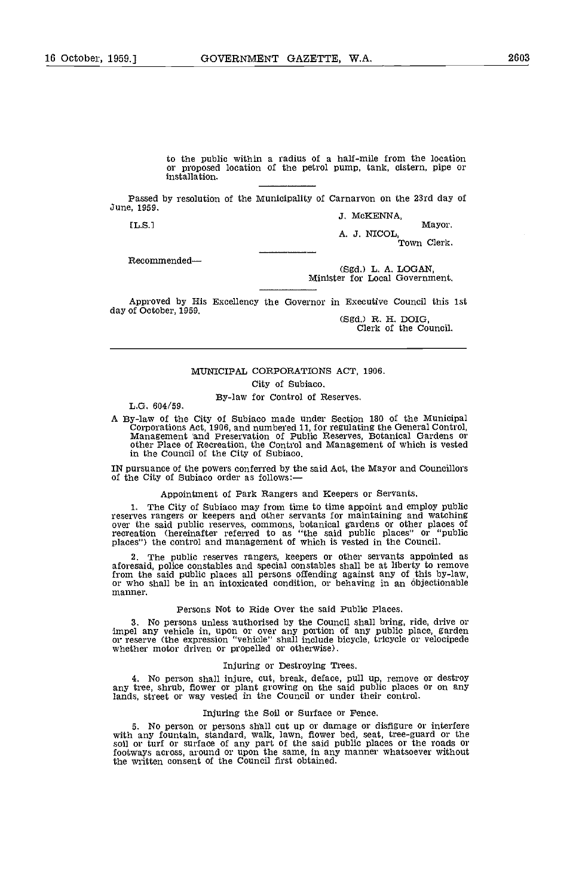to the public within a radius of a half-mile from the location or proposed location of the petrol pump, tank, cistern, pipe or installation.

Passed by resolution of the Municipality of Carnarvon on the 23rd day of June, 1959.<br>
J. McKENNA,<br>
ILS.] Mayor.

A. J. NICOL, Town Clerk.

Recommended-

(Sgd.) L. A. LOGAN, Minister for Local Government.

Approved by His Excellency the Governor in Executive Council this 1st day of October, 1959. (Sgd.) R. H. DOIG, Clerk of the Council.

#### MUNICIPAL CORPORATIONS ACT, 1906.

City of Subiaco.

By-law for Control of Reserves. L.G. 604/59.

A By-law of the City of Subiaco made under Section 180 of the Municipal Corporations Act, 1906, and numbered 11, for regulating the General Control, Management and Preservation of Public Reserves, Botanical Gardens or othe in the Council of the City of Subiaco.

IN pursuance of the powers conferred by the said Act, the Mayor and Councillors of the City of Subiaco order as follows:

# Appointment of Park Rangers and Keepers or Servants.

1. The City of Subiaco may from time to time appoint and employ public<br>reserves rangers or keepers and other servants for maintaining and watching<br>over the said public reserves, commons, botanical gardens or other places o

The public reserves rangers, keepers or other servants appointed as aforesaid, police constables and special constables shall be at liberty to remove from the said public places all persons offending against any of this by-law. or who shall be in an intoxicated condition, or behaving in an objectionable manner.

#### Persons Not to Ride Over the said Public Places,

No persons unless authorised by the Council shall bring, ride, drive or impel any vehicle in, upon or over any portion of any public place, garden or reserve (the expression "vehicle" shall include bicycle, tricycle or velocipede whether motor driven or propelled or otherwise).

#### Injuring or Destroying Trees.

No person shall injure, cut, break, deface, pull up, remove or destroy any tree, shrub, flower or plant growing on the said public places or on any lands, street or way vested in the Council or under their control.

#### Injuring the Soil or Surface or Fence.

No person or persons shall cut up or damage or disfigure or interfere with any fountain, standard, walk, lawn, flower bed, seat, tree-guard or the soil or turf or surface of any part of the said public places or the roads or footways across, around or upon the same, in any manner whatsoever without the written consent of the Council first obtained.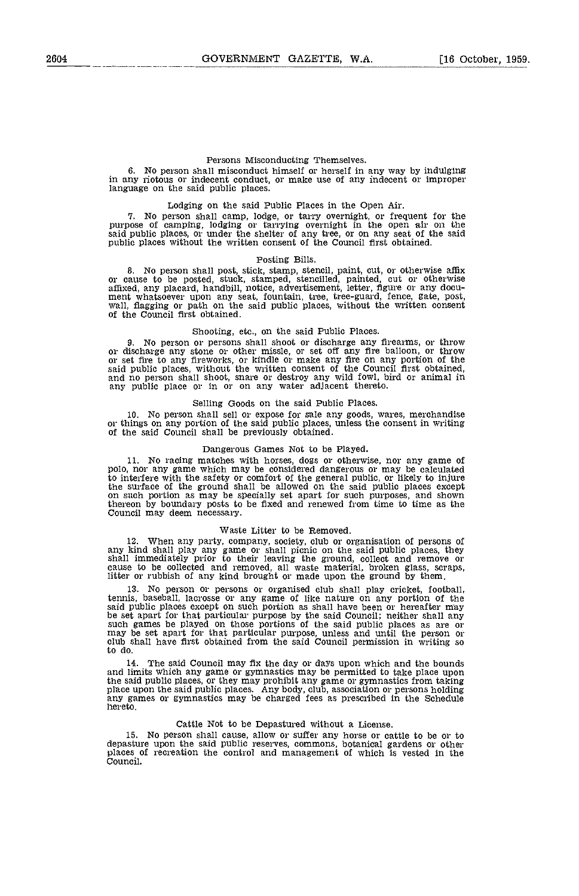# Persons Misconducting Themselves.

No person shall misconduct himself or herself in any way by indulging in any riotous or indecent conduct, or make use of any indecent or improper language on the said public places.

Lodging on the said Public Places in the Open Air. No person shall camp, lodge, or tarry overnight, or frequent for the purpose of camping, lodging or tarrying overnight in the open air on the said public places, or under the shelter of any tree, or on any seat of the said public places without the written consent of the Council first obtained.

#### Posting Bills.

No person shall post, stick, stamp, stencil, paint, cut, or otherwise affix or cause to be posted, stuck, stamped, stencilled, painted, cut or otherwise affixed, any placard, handbill, notice, advertisement, letter, figure or any document whatsoever upon any seat, fountain, tree, tree-guard, fence, gate, post, wall, flagging or path on the said public places, without the w

### Shooting, etc., on the said Public Places.

No person or persons shall shoot or discharge any firearms, or throw or discharge any stone or other missle, or set off any fire balloon, or throw or set fire to any fireworks, or kindle or make any fire on any portion of the said public places, without the written consent of the Council first obtained, and no person shall shoot, snare or destroy any wild fowl, bird or animal in any public place or in or on any water adjacent thereto.

#### Selling Goods on the said Public Places.

No person shall sell or expose for sale any goods, wares, merchandise or things on any portion of the said public places, unless the consent in writing of the said Council shall be previously obtained.

### Dangerous Games Not to be Played.

No racing matches with horses, dogs or otherwise, nor any game of polo, nor any game which may be considered dangerous or may be calculated to interfere with the safety or comfort of the general public, or likely to injure<br>the surface of the ground shall be allowed on the said public places except<br>on such portion as may be specially set apart for such purposes on such portion as may be specially set apart for such purposes, and shown thereon by boundary posts to be fixed and renewed from time to time as the Council may deem necessary.

### Waste Litter to be Removed.

when any party, company, society, club or organisation of persons of any kind shall play any game or shall picnic on the said public places, they shall immediately prior to their leaving the ground, collect and remove or cause to be collected and removed, all waste material, broken glass, scraps, litter or rubbish of any kind brought or made upon the ground by them.

No person or persons oi organised club shall play cricket, football, tennis, baseball, lacrosse or any game of like nature on any portion of the said public places except on such portion as shall have been or hereafter may be set apart for that particular purpose by the said Council; neither shall any such games be played on those portions of the said public places as are or<br>may be set apart for that particular purpose, unless and until the person or<br>club shall have first obtained from the said Council permission in wri

The said Council may fix the day or days upon which and the bounds and limits which any game or gymnastics may be permitted to take place upon the said public places, or they may prohibit any game or gymnastics from taking place upon the said public places. Any body, club, association or persons holding<br>any games or gymnastics may be charged fees as prescribed in the Schedule<br>hereto.

# Cattle Not to be Depastured without a License.

15. No person shall cause, allow or suffer any horse or cattle to be or to depasture upon the said public reserves, commons, botanical gardens or other places of recreation the control and management of which is vested in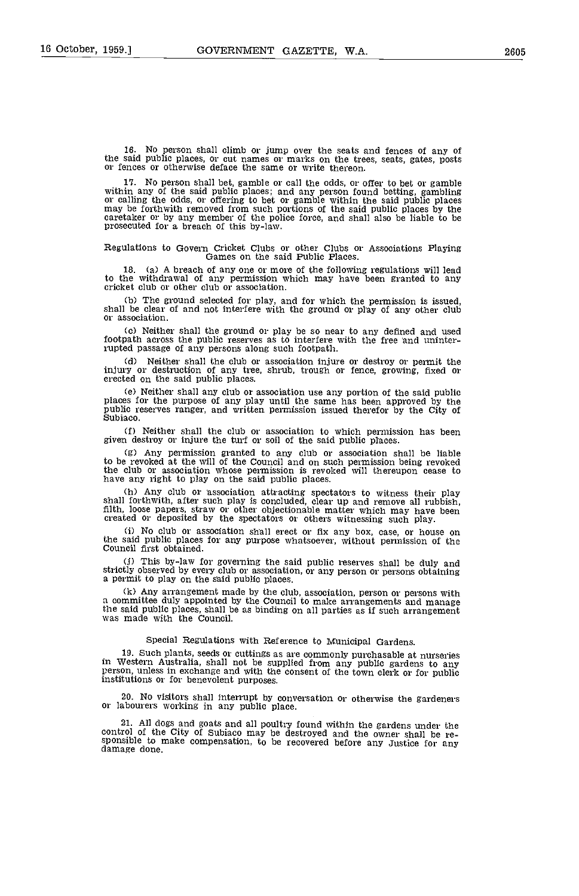17. No person shall bet gamble or call the odds, or offer to bet or gamble within any of the said public places; and any person found betting, gambling or calling the odds, or offering to bet or gamble within the said public places may be forthwith removed from such portions of the said public places by the caretaker or by any member of the police force, and shall also be

# Regulations to Govern Cricket Clubs or other Clubs or Associations Playing Games on the said Public Places.

18. (a) A breach of any one or more of the following regulations will lead to the withdrawal of any permission which may have been granted to any cricket club or other club or association.

The ground selected for play, and for which the permission is issued, shall be clear of and not interfere with the ground or play of any other club or association.

Neither shall the ground or play be so near to any defined and used footpath across the public reserves as to interfere with the free and uninterrupted passage of any persons along such footpath.

Cd) Neither shall the club or association injure or destroy or permit the injury or destruction of any tree, shrub, trough or fence, growing, fixed or erected on the said public places.

(e) Neither shall any club or association use any portion of the said public places for the purpose of any play until the same has been approved by the public reserves ranger, and written permission issued therefor by the

Neither shall the club or association to which permission has been given destroy or injure the turf or soil of the said public places.

(g) Any permission granted to any club or association shall be liable to be revoked at the will of the Council and on such permission being revoked the club or association whose permission is revoked will thereupon cease

Any club or association attracting spectators to witness their play shall forthwith, after such play is concluded, clear up and remove all rubbish, filth, loose papers, straw or other objectionable matter which may have been created or deposited by the spectators or others witnessing such play.

Ci) No club or association shall erect or fix any box, case, or house on the said public places for any purpose whatsoever, without permission of the Council first obtained.

This by-law for governing the said public reserves shall be duly and strictly observed by every club or association, or any person or persons obtaining a permit to play on the said public places,

Any arrangement made by the club, association, person or persons with a committee duly appointed by the Council to make arrangements and manage the said public places, shall be as binding on all parties as if such arrangement was made with the Council.

# Special Regulations with Reference to Municipal Gardens.

19. Such plants, seeds or cuttings as are commonly purchasable at nurseries in Western Australia, shall not be supplied from any public gardens to any person, unless in exchange and with the consent of the town clerk or for public institutions or for benevolent purposes.

20. No visitors shall iaterrupt by conversation or otherwise the gardeners or labourers working in any public place.

21. All dogs and goats and all poultry found within the gardens under the control of the City of Subiaco may be destroyed and the owner shall be responsible to make compensation, to be recovered before any Justice for any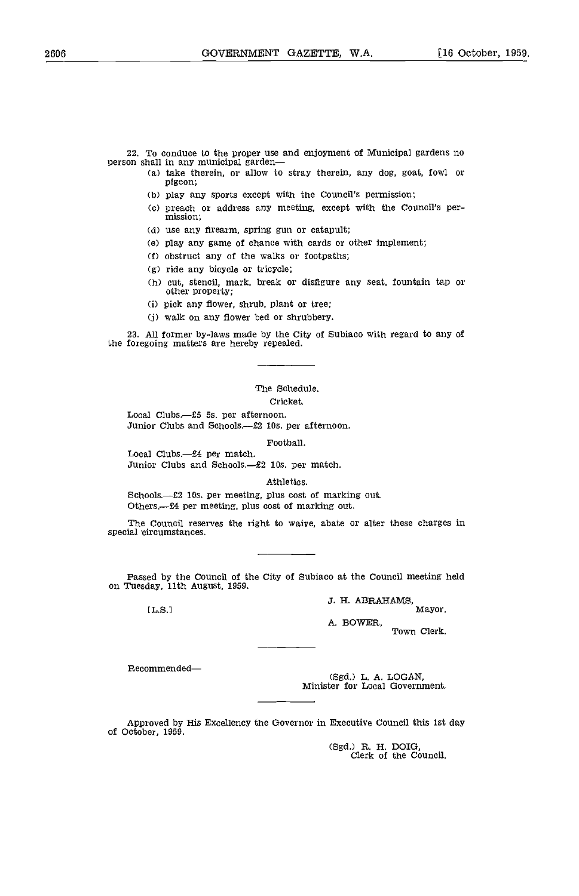22. To conduce to the proper use and enjoyment of Municipal gardens no person shall in any municipal garden—

- take therein, or allow to stray therein, any dog, goat, fowl or pigeon;
- (b) play any sports except with the Council's permission;
- Cc) preach or address any meeting, except with the Council's per- mission;
- Cd) use any firearm, spring gun or catapult;
- Ce) play any game of chance with cards or other implement;
- obstruct any of the walks or footpaths;
- (g) ride any bicycle or tricycle;
- (h) cut, stencil, mark, break or disfigure any seat, fountain tap or other property;
- (i) pick any flower, shrub, plant or tree;
- (j) walk on any flower bed or shrubbery.

23. All former by-laws made by the City of Subiaco with regard to any of the foregoing matters are hereby repealed.

# The Schedule.

# Cricket.

Local Clubs.--£5 5s. per afternoon. Junior Clubs and Schools.--£2 10s. per afternoon.

Football.

Local Clubs.--£4 per match.<br>Junior Clubs and Schools.--£2 10s. per match.

Athletics.

Schools.--£2 10s. per meeting, plus cost of marking out. Others.—£4 per meeting, plus cost of marking out.

The Council reserves the right to waive, abate or alter these charges in special circumstances.

Passed by the Council of the City of Subiaco at the Council meeting held on Tuesday, 11th August, 1959.

3. H. ABRAHAMS, IL.S.] Mayor.

> A. BOWER, Town Clerk.

Recommended

CSgd.) L. A. LOGAN. Minister for Local Government.

Approved by His Excellency the Governor in Executive Council this 1st day cf October, 1959.

(Sgd.) R. H. DOIG,<br>Clerk of the Council.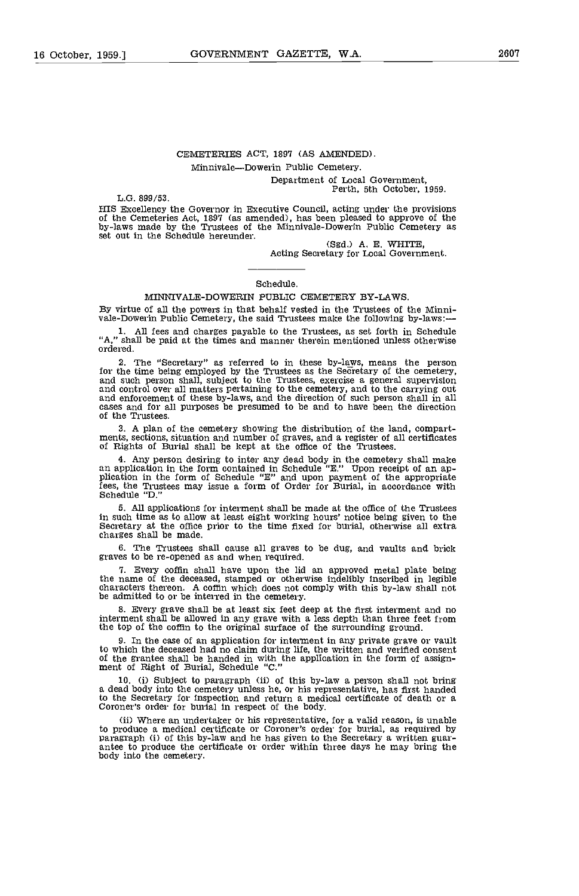# CEMETERIES ACT, 1897 (AS AMENDED)

# Minnivale-Dowerin Public Cemetery.

Department of Local Government, Perth, 5th October, 1959.

L.G. 899/53.

HIS Excellency the Governor in Executive Council, acting under the provisions of the Cemeteries Act, 1897 (as amended), has been pleased to approve of the by-laws made by the Trustees of the Minnivale-Dowerin Public Cemete set out in the Schedule hereunder.

(Sgd.) A. E. WHITE,<br>Acting Secretary for Local Government.

#### Schedule.

## MINNIVALE-DOWERIN PUBLIC CEMETERY BY-LAWS.

By virtue of all the powers in that behalf vested in the Trustees of the Minni- vale-Dowerin Public Cemetery, the said Trustees make the following by-laws:-

All fees and charges payable to the Trustees, as set forth in Schedule "A," shall be paid at the times and manner therein mentioned unless otherwise ordered.

The "Secretary" as referred to in these by-laws, means the person for the time being employed by the Trustees as the Secretary of the cemetery, and such person shall, subject to the Trustees, exercise a general supervision and control over all matters pertaining to the cemetery, and to the carrying out<br>and enforcement of these by-laws, and the direction of such person shall in all<br>cases and for all purposes be presumed to be and to have been of the Trustees.

A plan of the cemetery showing the distribution of the land compart- ments, sections, situation and number of graves, and a register of all certificates of Rights of Burial shall be kept at the office of the Trustees.

Any person desiring to inter any dead body in the cemetery shall make an application in the form contained in Schedule "E." Upon receipt of an ap- plication in the form of Schedule "E" and upon payment of the appropriate fees, the Trustees may issue a form of Order for Burial, in accordance with Schedule "0."

All applications for interment shall be made at the office of the Trustees in such time as to allow at least eight working hours' notice being given to the Secretary at the office prior to the time fixed for burial, otherwise all extra charges shall be made.

The Trustees shall cause all graves to be dug, and vaults and brick graves to be re-opened as and when required.

Every coffin shall have upon the lid an approved metal plate being the name of the deceased, stamped or otherwise indelibly inscribed in legible characters thereon. A coffin which does not comply with this by-law shall not be admitted to or be interred in the cemetery.

Every grave shall be at least six feet deep at the first interment and no interment shall be allowed in any grave with a less depth than three feet from the top of the coffin to the original surface of the surrounding ground.

In the case of an application for interment in any private grave or vault to which the deceased had no claim during life, the written and verified consent of the grantee shall be handed in with the application in the form of assign- ment of Right of Burial, Schedule "C."

(i) Subject to paragraph (ii) of this by-law a person shall not bring a dead body into the cemetery unless he, or his representative, has first handed to the Secretary for inspection and return a medical certificate of death or a Coroner's order for burial in respect of the body.

(ii) Where an undertaker or his representative, for a valid reason, is unable to produce a medical certificate or Coroner's order for burial, as required by paragraph (i) of this by-law and he has given to the Secretary a written guar- antee to produce the certificate or order within three days he may bring the body into the cemetery.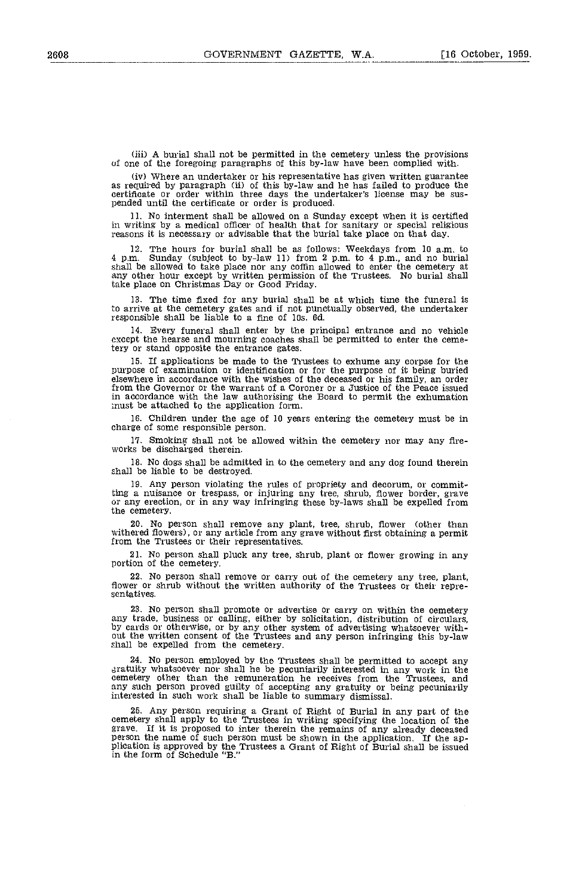A burial shall not be permitted in the cemetery unless the provisions of one of the foregoing paragraphs of this by-law have been complied with.

(iv) Where an undertaker or his representative has given written guarantee as required by paragraph (ii) of this by-law and he has failed to produce the certificate or order within three days the undertaker's license may b

No interment shall be allowed on a Sunday except when it is certified in writing by a medical officer of health that for sanitary or special religious reasons it is necessary or advisable that the burial take place on that day.

The hours for burial shall be as follows: Weekdays from 10 a.m. to 4 p.m. Sunday (subject to by-law 11) from 2 p.m. to 4 p.m., and no burial shall be allowed to take place nor any coffin allowed to enter the cemetery at any other hour except by written permission of the Trustees. No buria take place on Christmas Day or Good Friday.

The time fixed for any burial shall be at which time the funeral is to arrive at the cemetery gates and if not punctually observed, the undertaker responsible shall be liable to a fine of lOs. Gd.

Every funeral shall enter by the principal entrance and no vehicle  $14.$ except the hearse and mourning coaches shall be permitted to enter the cemetery or stand opposite the entrance gates.

If applications be made to the Trustees to exhume any corpse for the purpose of examination or identification or for the purpose of it being buried elsewhere in accordance with the wishes of the deceased or his family, an order from the Governor or the warrant of a Coroner or a Justice of the Peace issued in accordance with the law authorising the Board to permit the exhumation must be attached to the application form.

Children under the age of 10 years entering the cemetery must be in charge of some responsible person.

17. Smoking shall not be allowed within the cemetery nor may any fire-works be discharged therein.

No dogs shall be admitted in to the cemetery and any dog found therein shall be liable to be destroyed.

Any person violating the rules of propriety and decorum, or committing a nuisance or trespass, or injuring any tree, shrub, flower border, grave or any erection, or in any way infringing these by-laws shall be expelled from the cemetery.

No person shall remove any plant, tree, shrub, flower (other than withered flowers), or any article from any grave without first obtaining a permit from the Trustees or their representatives.

No person shall pluck any tree, shrub, plant or flower growing in any portion of the cemetery.

No person shall remove or carry out of the cemetery any tree, plant, flower or shrub without the written authority of the Trustees or their repre- sentatives.

23. No person shall promote or advertise or carry on within the cemetery any trade, business or calling, either by solicitation, distribution of circulars, by cards or otherwise, or by any other system of advertising whatsoever with-<br>out the written consent of the Trustees and any person infringing this by-law shall be expelled from the cemetery.

No person employed by the Trustees shall be permitted to accept any gratuity whatsoever nor shall he be pecuniarily interested in any work in the cemetery other than the remuneration he receives from the Trustees, and any such person proved guilty of accepting any gratuity or being pecuniarily interested in such work shall be liable to summary dismissal.

Any person requiring a Grant of Right of Burial in any part of the cemetery shall apply to the Trustees in writing specifying the location of the grave. If it is proposed to inter therein the remains of any already deceased person the name of such person must be shown in the application. If the apperson the name of such person must be shown in the application. If the application is approved by the Trustees a Grant of Right of Burial shall be issued in the form of Schedule "B."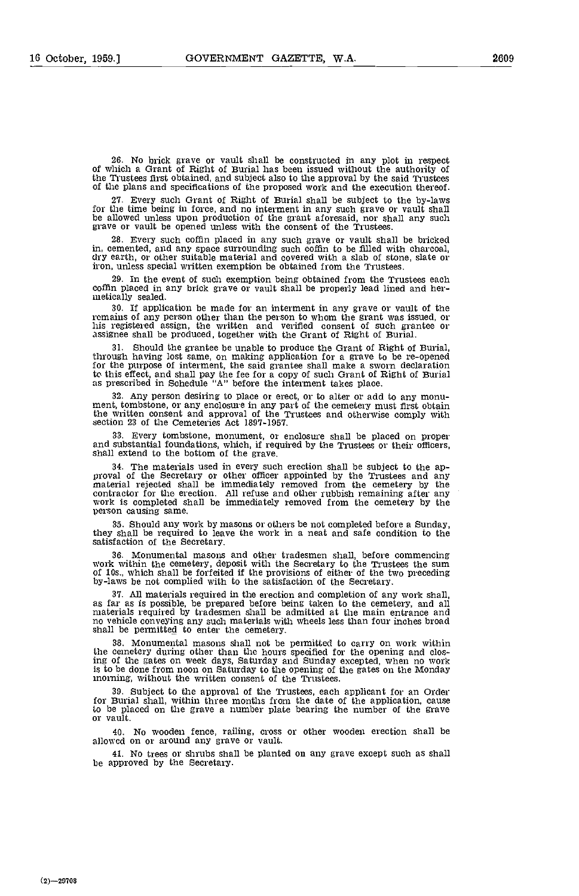No brick grave or vault shall be constructed in any plot in respect of which a Grant of Right of Burial has been issued without the authority of the Trustees first obtained, and subject also to the approval by the said Trustees of the plans and specifications of the proposed work and the execution thereof.

27. Every such Grant of Right of Burial shall be subject to the by-laws for the time being in force, and no interment in any such grave or vault shall be allowed unless upon production of the grant aforesaid, nor shall any such grave or vault be opened unless with the consent of the Trustees.

Every such coffin placed in any such grave or vault shall be bricked in, cemented, and any space surrounding such coffin to be filled with charcoal, dry earth, or other suitable material and covered with a slab of stone, slate or iron, unless special written exemption be obtained from the Trustees.

In the event of such exemption being obtained from the Trustees each coffin placed in any brick grave or vault shall be properly lead lined and her- netically sealed.

If application be made for an interment in any grave or vault of the remains of any person other than the person to whom the grant was issued, or his registered assign, the written and verified consent of such grantee or assignee shall be produced, together with the Grant of Right of Burial,

Should the grantee be unable to produce the Grant of Right of Burial, through having lost same, on making application for a grave to be re-opened for the purpose of interment, the said grantee shall make a sworn declaration to this effect, and shall pay the fee for a copy of such Grant of Right of Burial as prescribed in Schedule "A" before the interment takes place.

32. Any person desiring to place or erect, or to alter or add to any monu-<br>ment, tombstone, or any enclosure in any part of the cemetery must first obtain the written consent and approval of the Trustees and otherwise comply with section 23 of the Cemeteries Act 1897-1957.

Every tombstone, monument, or enclosure shall be placed on proper and substantial foundations, which, if required by the Trustees or their officers, shall extend to the bottom of the grave.

The materials used in every such erection shall be subject to the ap- proval of the Secretary or other officer appointed by the Trustees and any material rejected shall be immediately removed from the cemetery by the contractor for the erection. All refuse and other rubbish remaining after any work is completed shall be immediately removed from the cemetery by the person causing same.

Should any work by masons or others be not completed before a Sunday, they shall be required to leave the work in a neat and safe condition to the satisfaction of the Secretary.

Monumental masons and other tradesmen shall, before commencing work within the cemetery, deposit with the Secretary to the Trustees the sum of los., which shall be forfeited if the provisions of either of the two preceding by-laws be not complied with to the satisfaction of the Secretary.

37. All materials required in the erection and completion of any work shall, as far as is possible, be prepared before being taken to the cemetery, and all materials required by tradesmen shall be admitted at the main entr no vehicle conveying any such materials with wheels less than four inches broad shall be permitted to enter the cemetery,

Monumental masons shall not be permitted to carry on work within the cemetery during other than the hours specified for the opening and closing of the gates on week days, Saturday and Sunday excepted, when no work is to be done from noon on Saturday to the opening of the gates on the Monday morning, without the written consent of the Trustees.

Subject to the approval of the Trustees, each applicant for an Order for Burial shall, within three months from the date of the application, cause to be placed on the grave a number plate bearing the number of the grave or vault.

No wooden fence, railing, cross or other wooden erection shall be allowcd on or around any grave or vault.

No trees or shrubs shall be planted on any grave except such as shall be approved by the Secretary.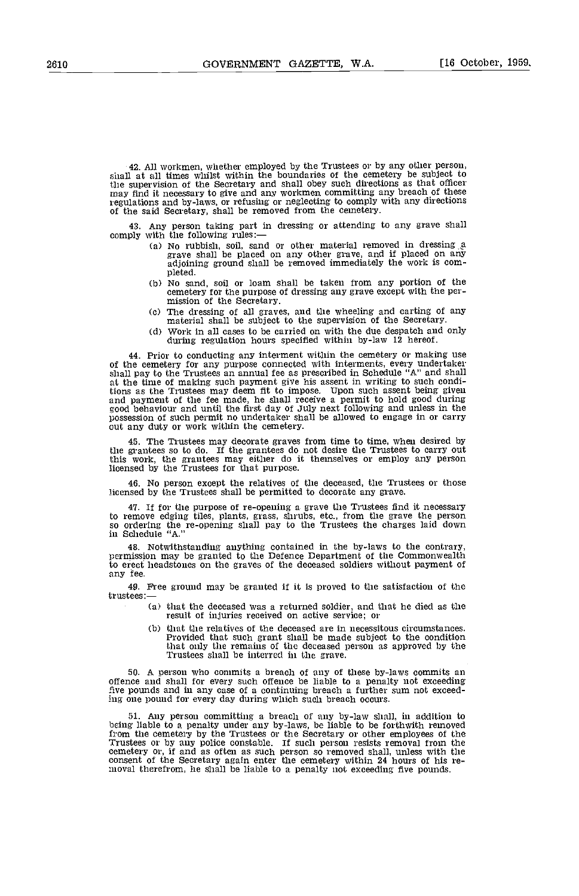42. All workmen, whether employed by the Trustees or by any other person, shall at all times whilst within the boundaries of the cemetery be subject to the supervision of the Secretary and shall obey such directions as that officer may find it necessary to give and any workmen committing any breach of these regulations and by-laws, or refusing or neglecting to comply with any directions of the said Secretary, shall be removed from the cemetery.

43. Any person taking part in dressing or attending to any grave shall<br>comply with the following rules:—<br>(a) No rubbish, soil, sand or other material removed in dressing a<br>grave shall be placed on any other grave, and if

- adjoining ground shall be removed immediately the work is com-
- (b) No sand, soil or loam shall be taken from any portion of the cemetery for the purpose of dressing any grave except with the per-<br>mission of the Secretary.<br>(c) The dressing of all graves, and the wheeling and carting of any
- material shall be subject to the supervision of the Secretary.
- Cd) Work in all cases to be carried on with the due despatch and only during regulation hours specified within by-law 12 hereof.

44. Prior to conducting any interment within the cemetery or making use of the cemetery for any purpose connected with interments, every undertaker shall pay to the Trustees an annual fee as prescribed in Schedule "A" and tions as the Trustees may deem fit to impose. Upon such assent being given and payment of the fee made, he shall receive a permit to hold good during good behaviour and until the first day of July next following and unless in the possession of such permit no undertaker shall be allowed to engage in or carry out any duty or work within the cemetery.

45. The Trustees may decorate graves from time to time, when desired by the grantees so to do. If the grantees do not desire the Trustees to carry out this work, the grantees may either do it themselves or employ any person licensed by the Trustees for that purpose.

46. No person except the relatives of the deceased, the Trustees or those licensed by the Trustees shall be permitted to decorate any grave.

47. If for the purpose of re-opening a grave the Trustees find it necessary to remove edging tiles, plants, grass, shrubs, etc., from the grave the person so ordering the re-opening shall pay to the Trustees the charges laid down in Schedule "A."

48. Notwithstanding anything contained in the by-laws to the contrary, permission may be granted to the Defence Department of the Commonwealth to erect headstones on the graves of the deceased soldiers without payment of any fee.

49. Free ground may be granted if it is proved to the satisfaction of the trustees:

- (a) that the deceased was a returned soldier, and that he died as the result of injuries received on active service; or
- (b) that the relatives of the deceased are in necessitous circumstances. Provided that such grant shall be made subject to the condition that only the remains of the deceased person as approved by the Trustees shall be interred in the grave.

50. A person who commits a breach of any of these by-laws commits an offence and shall for every such offence be liable to a penalty not exceeding five pounds and in any case of a continuing breach a further sum not exceeding one pound for every day during which such breach occurs.

51. Any person committing a breach of any by-law shall, in addition to being liable to a penalty under any by-laws, be liable to be forthwith removed from the cemetery by the Trustees or the Secretary or other employees of the Trustees or by any police constable. If such person resists removal from the cemetery or, if and as often as such person so removed shall, unless with the consent of the Secretary again enter the cemetery within 24 hours of his reinoval therefrom, he shall be liable to a penalty not exceeding five pounds.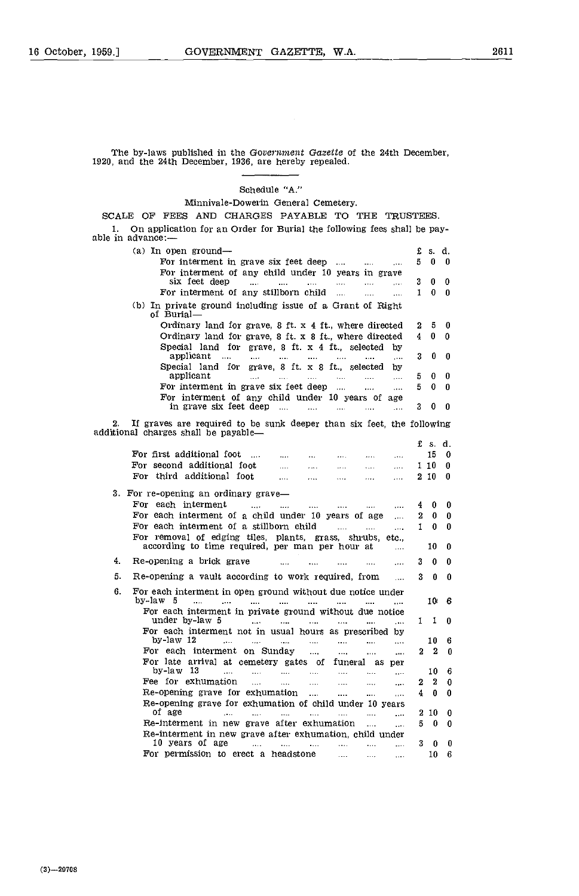The by-laws published in the Government Gazette of the 24th December, 1920, and the 24th December, 1936, are hereby repealed,

Schedule "A."

Minnivale-Dowerin General Cemetery.

SCALE OF FEES AND CHARGES PAYABLE TO THE TRUSTEES. On application for an Order for Burial the following fees shall be pay- able in advance:.

| (a) In open ground—                                                                                                                                           | £  | s. d.      |              |
|---------------------------------------------------------------------------------------------------------------------------------------------------------------|----|------------|--------------|
| For interment in grave six feet deep<br>$\mathbf{r}$ and $\mathbf{r}$ and $\mathbf{r}$<br>$\sim 100$                                                          | 5. | $\bf{0}$   | $\Omega$     |
| For interment of any child under 10 years in grave                                                                                                            |    |            |              |
| six feet deep<br>$\cdots$<br>$\mathbf{r}$<br>$\sim$ 1000 $\sim$<br><b>Service</b><br><b>Service</b><br>$\mathbf{1}$                                           | 3. | 0          | 0            |
| For interment of any stillborn child $\ldots$<br>$\cdots$<br>$\cdots$                                                                                         | 1  | 0          | $\bf{0}$     |
| (b) In private ground including issue of a Grant of Right<br>of Burial-                                                                                       |    |            |              |
| Ordinary land for grave, $8$ ft. $x$ 4 ft., where directed                                                                                                    | 2  | 5          | 0            |
| Ordinary land for grave, 8 ft. x 8 ft., where directed                                                                                                        | 4  | 0          | 0            |
| Special land for grave, 8 ft. x 4 ft., selected by                                                                                                            |    |            |              |
| applicant<br>and the material company of the state<br>asaan in<br>in ex                                                                                       | 3. | 0          | 0            |
| Special land for grave, 8 ft. x 8 ft., selected by                                                                                                            |    |            |              |
| applicant<br>and and the state of the<br>$\sim 100$<br><b>Alberta</b><br>$\mathcal{L}_{\text{max}}$<br>$\sim$                                                 | 5  | 0          | 0            |
| For interment in grave six feet deep<br>$\cdots$<br>$\ddotsc$                                                                                                 | 5. | 0          | $\bf{0}$     |
| For interment of any child under 10 years of age                                                                                                              |    |            |              |
| in grave six feet deep                                                                                                                                        | 3. | 0          | 0            |
| If graves are required to be sunk deeper than six feet, the following<br>2.                                                                                   |    |            |              |
| additional charges shall be payable-                                                                                                                          |    |            |              |
|                                                                                                                                                               |    | £s.d.      |              |
| For first additional foot<br>$\cdots$<br>$\cdots$<br>$\ldots$<br>$\ldots$<br>$\cdots$                                                                         |    | 15         | 0            |
| For second additional foot<br>$\cdots$<br>$\cdots$<br>$\cdots$<br>.<br>.                                                                                      |    | 1 10       | 0            |
| For third additional foot<br>$\cdots$<br>$\cdots$<br>$\cdots$<br>$\ldots$<br>$\cdots$                                                                         |    | 210        | 0            |
|                                                                                                                                                               |    |            |              |
| 3. For re-opening an ordinary grave-                                                                                                                          |    |            |              |
| For each interment<br>$\sim 100$<br>and the state of the state of<br><b>Save College</b><br>$\mathbf{1}$ and $\mathbf{1}$<br>$\cdots$                         | 4  | 0          | 0            |
| For each interment of a child under 10 years of age<br>$\cdots$                                                                                               | 2  | 0          | 0            |
| For each interment of a stillborn child<br><b>Sales</b><br>$\sim$                                                                                             | T. | $\Omega$   | 0            |
| For removal of edging tiles, plants, grass, shrubs, etc.,<br>according to time required, per man per hour at                                                  |    | 10         | $\bf{0}$     |
| $\cdots$                                                                                                                                                      |    |            |              |
| 4.<br>Re-opening a brick grave<br>$\mathbf{1},\mathbf{1},\mathbf{1}$<br>$\cdots$<br>$\cdots$<br>$\mathbf{r}$                                                  | 3  | 0          | 0            |
| 5.<br>Re-opening a vault according to work required, from<br>$\cdots$                                                                                         | 3  | 0          | $\mathbf{0}$ |
| 6.<br>For each interment in open ground without due notice under                                                                                              |    |            |              |
| by-law 5<br>$\sim$<br>$\sim$<br>$\cdots$<br>$\cdots$<br>$\sim$<br>$\cdots$                                                                                    |    |            | 10 6         |
| For each interment in private ground without due notice                                                                                                       |    |            |              |
|                                                                                                                                                               |    |            |              |
| under by-law $5$<br>$\mathcal{L}_{\text{max}}$<br>$\cdots$<br>$\cdots$                                                                                        |    | $1\quad 1$ | $\Omega$     |
| For each interment not in usual hours as prescribed by                                                                                                        |    |            |              |
| by-law 12<br><b>County</b> County<br>$\mathcal{L}_{\text{max}}$ .<br>and the state<br><b>Sales Control</b><br><b>College College</b><br>$\cdots$<br>$\ddotsc$ |    | 10         | 6            |
| For each interment on Sunday<br>$\cdots$<br>$\cdots$<br>$\cdots$                                                                                              | 2. | - 2        | $\bf{0}$     |
| For late arrival at cemetery gates of funeral as per                                                                                                          |    |            |              |
| by-law 13<br>$\cdots$<br>asset the con-<br>$\mathbf{r}$<br>$\mathbf{r}$<br>$\cdots$<br>$\cdots$<br>$\cdots$                                                   |    | 10         | 6            |
| Fee for exhumation<br>$\cdots$<br>$\mathbf{r}$<br>$\cdots$<br>$\cdots$<br>$\cdots$<br>$\cdots$                                                                | 2  | 2          | 0            |
| Re-opening grave for exhumation<br>$\cdots$<br>$\cdots$<br>                                                                                                   | 4  | $\bf{0}$   | 0            |
| Re-opening grave for exhumation of child under 10 years                                                                                                       |    |            |              |
| of age<br>$\mathbf{1}$<br>$\sim 10^{-10}$<br>and the state of<br>$\mathbf{1}$<br>$\cdots$<br>$\ddotsc$                                                        | 2  | 10         | 0            |
| Re-interment in new grave after exhumation<br>$\mathbf{r}$<br>$\ddotsc$                                                                                       | 5. | - 0        | 0            |
| Re-interment in new grave after exhumation, child under<br>10 years of age $\ldots$ $\ldots$ $\ldots$<br><b>Save Common</b><br>asset of the<br>$\mathbf{r}$   | 3. | 0          | 0            |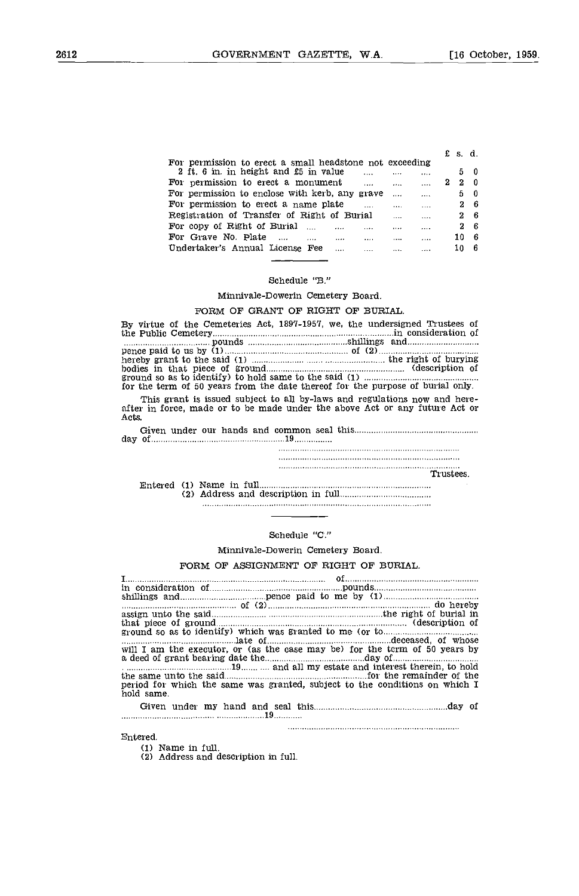|                                                                        |   | £s.d. |     |
|------------------------------------------------------------------------|---|-------|-----|
| For permission to erect a small headstone not exceeding                |   |       |     |
| 2 ft. 6 in. in height and £5 in value<br><br>$\cdots$                  |   |       | 50  |
| For permission to erect a monument<br>$\cdots$<br>$\cdots$<br>.        | z | 2     | - 0 |
| For permission to enclose with kerb, any grave<br>$\cdots$<br>$\cdots$ |   |       | 50  |
| For permission to erect a name plate<br>$\cdots$<br>$\cdots$           |   |       | 26  |
| Registration of Transfer of Right of Burial<br><br>                    |   |       | 26  |
| For copy of Right of Burial<br>$\cdots$<br><br><br>$\cdots$            |   | 2.    | - 6 |
| For Grave No. Plate<br><br><br><br><br>                                |   | 10    | - 6 |
| Undertaker's Annual License Fee<br><br><br><br>.                       |   | 10    |     |

### Schedule "B."

Minnivale-Dowerin Cemetery Board.

# FORM OF GRANT OF RIGHT OF BURIAL.

|                                                                                | By virtue of the Cemeteries Act, 1897-1957, we, the undersigned Trustees of                                                                              |
|--------------------------------------------------------------------------------|----------------------------------------------------------------------------------------------------------------------------------------------------------|
|                                                                                |                                                                                                                                                          |
|                                                                                |                                                                                                                                                          |
|                                                                                |                                                                                                                                                          |
|                                                                                |                                                                                                                                                          |
| for the term of 50 years from the date thereof for the purpose of burial only. |                                                                                                                                                          |
| Acts.                                                                          | This grant is issued subject to all by-laws and regulations now and here-<br>after in force, made or to be made under the above Act or any future Act or |
|                                                                                |                                                                                                                                                          |
|                                                                                |                                                                                                                                                          |
|                                                                                |                                                                                                                                                          |
|                                                                                | Trustees.                                                                                                                                                |
|                                                                                |                                                                                                                                                          |
|                                                                                |                                                                                                                                                          |
|                                                                                |                                                                                                                                                          |

# Schedule "C."

Minnivale-Dowerin Cemetery Board.

### FORM OF ASSIGNMENT OF RIGHT OF BURIAL.

I of In consideration of pounds shillings and pence paid to me by (1) of  $(2)$  do hereby do hereby  $\alpha$  assign unto the said  $\alpha$  is a constant the right of burial in that piece of ground (description of ground (description of ground so as to identify) which was granted to me (or to  $\frac{1}{2}$ ) late of deceased, of whose will I am the executor, or (as the case may be) for the term of 50 years by a deed of grant bearing date the day of 19...........and all my estate and interest therein, to hold the same unto the said for the remainder of the period for which the same was granted, subject to the conditions on which I hold same. Given under my hand and seal this manufactured and seal this day of 19

#### Entered.

Name in full.

Address and description in full.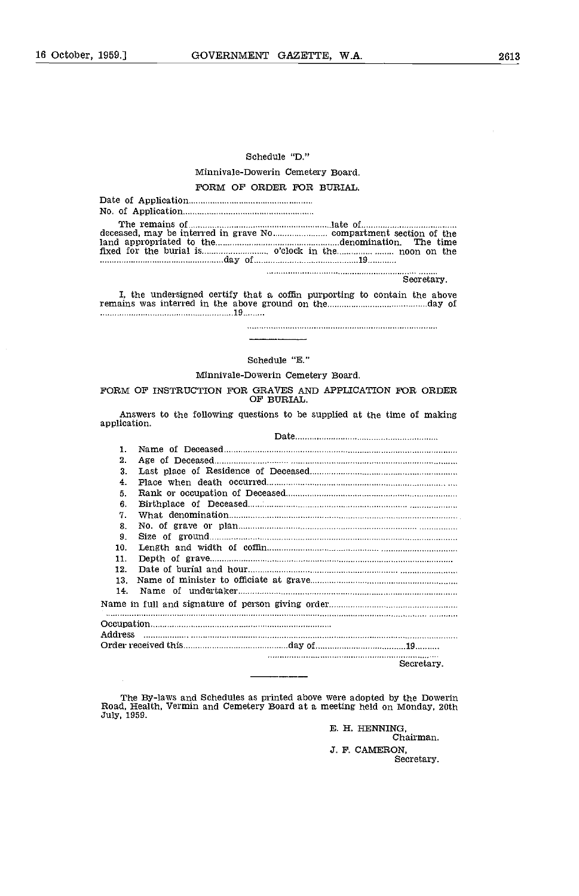# Schedule "D."

# Minnivale-Dowerin Cemetery Board. FORM OF ORDER FOR BURIAL.

| The remains of manufactured manufactured and relationship and relationship and relationship and relationship and relationship and relationship and relationship and relationship and relationship and relationship and relatio<br>land appropriated to the manual continuum controller and appropriation. The time |
|--------------------------------------------------------------------------------------------------------------------------------------------------------------------------------------------------------------------------------------------------------------------------------------------------------------------|
|                                                                                                                                                                                                                                                                                                                    |
| Secretary.<br>I, the undersigned certify that a coffin purporting to contain the above<br>nancelo a mare disponibilidad do disponibilidade analista de la contrada de la constitución de la constitución                                                                                                           |

remains was interred in the above ground on the measurements are done of 19

# Schedule "B."

# Minnivale-Dowerin Cemetery Board.

FORM OF INSTRUCTION FOR GRAVES AND APPLICATION FOR ORDER OF BURIAL.

Answers to the following questions to be supplied at the time of making application.

Date

| 1.  |            |
|-----|------------|
| 2.  |            |
| 3.  |            |
| 4.  |            |
| 5.  |            |
| 6.  |            |
| 7.  |            |
| 8.  |            |
| 9.  |            |
| 10. |            |
| 11. |            |
| 12. |            |
| 13. |            |
| 14. |            |
|     |            |
|     |            |
|     |            |
|     |            |
|     | Secretary. |

The By-laws and Schedules as printed above were adopted by the Dowerin Road, Health. Vermin and Cemetery Board at a meeting held on Monday, 20th July, 1959.

B. H. HENNING, Chairman. 3. F. CAMERON, Secretary.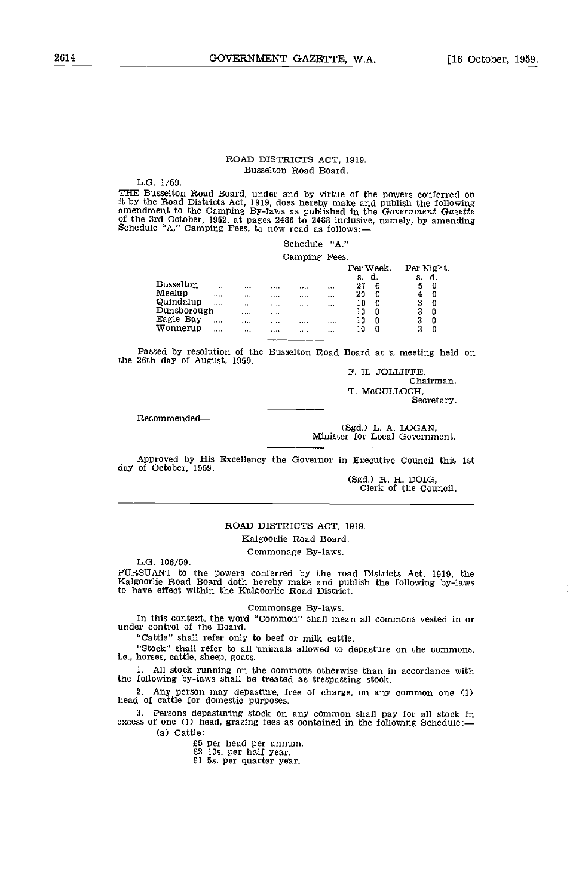# ROAD DISTRICTS ACT, 1919. Busselton Road Board.

L.G. 1/59.

THE Busselton Road Board, under and by virtue of the powers conferred on it by the Road Districts Act, 1919, does hereby make and publish the following<br>amendment to the Camping By-laws as published in the Government Gazette<br>of the 3rd October, 1952, at pages 2486 to 2488 inclusive, namely, by a

# Schedule "A." Comping Fees.

|                     |         |              | <b>Callburg</b> | $-0.00$ |          |                 |            |        |  |
|---------------------|---------|--------------|-----------------|---------|----------|-----------------|------------|--------|--|
|                     |         |              |                 |         |          | Per Week.<br>d. | Per Night. | d.     |  |
| <b>Busselton</b>    |         | <br>         |                 |         | s.<br>27 | 6               | s.<br>5    | 0      |  |
| Meelup<br>Quindalup |         | <br>         |                 |         | 20       | 0               |            | 0      |  |
| Dunsborough         | .       | <br><br><br> | <br>            | <br>    | 10<br>10 | 0<br>0          | 3<br>3     | 0<br>0 |  |
| Eagle Bay           |         | <br>         |                 |         | 10       | 0               | 3          | 0      |  |
| Wonnerup            | 1.1.1.1 | <br>         |                 |         | 10       | 0               | 3          | 0      |  |
|                     |         |              |                 |         |          |                 |            |        |  |

Passed by resolution of the Busselton Road Board at a meeting held on the 26th day of August, 1959.

F. H. JOLLIFFE Chairman. T. MCCULLOCH, Secretary.

Recommended

(Sgd.) L. A. LOGAN, Minister for Local Government.

Approved by His Excellency the Governor in Executive Council this 1st day of October, 1959.

(Sgd.) R. H. DOIG, Clerk of the Council.

# ROAD DISTRICTS ACT, 1919. Kalgoorlie Road Board.

Commonage By-laws.

L.G. 106/59.

PURSUANT to the powers conferred by the road Districts Act, 1919, the Kalgoorlie Road Board doth hereby make and publish the following by-laws to have effect within the Kalgoorlie Road District.

Commonage By-laws.

In this context, the word "Common" shall mean all commons vested in or under control of the Board,

"Cattle" shall refer only to beef or milk cattle.

"Stock" shall refer to all animals allowed to depasture on the commons, i.e., horses, cattle, sheep, goats.

All stock running on the commons otherwise than in accordance with the following by-laws shall be treated as trespassing stock.

Any person may depasture, free of charge, on any common one (1) head of cattle for domestic purposes.

Persons depasturing stock on any common shall pay for all stock in excess of one (1) head, grazing fees as contained in the following Schedule: (a) Cattle:

£5 per head per annum, £2 lOs. per half year. £1 Ss. per quarter year.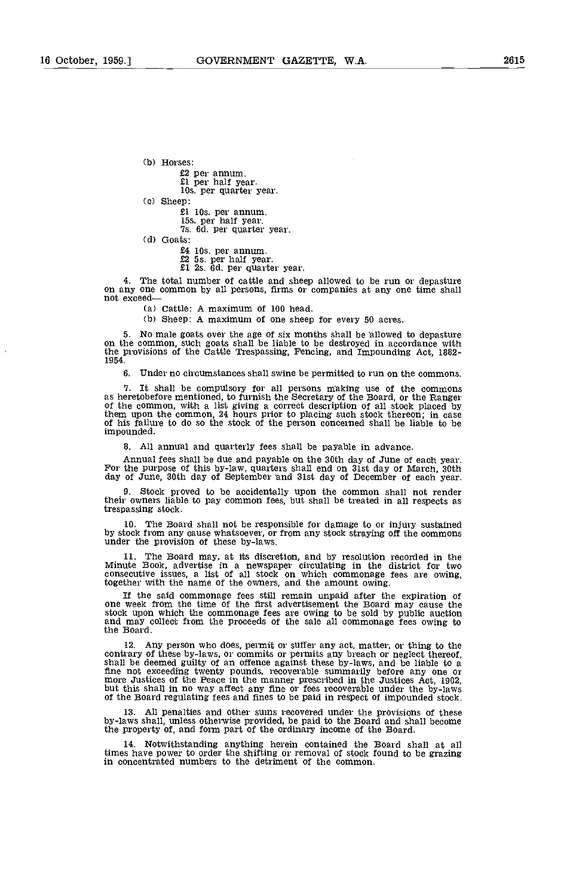(b) Horses:

£2 per annum. £1 per half year. lOs. per quarter year.

Cc) Sheep:

£1 lOs. per annum. 15s. per half year. Is. Cd. per quarter year.

(d) Goats:

£4 los. per annum. £2 5s. per half year. £1 2s. ad. per quarter year.

The total number of cattle and sheep allowed to be run or depasture on any one common by all persons, firms or companies at any one time shall not exceed

(a) Cattle: A maximum of 100 head.

(b) Sheep: A maximum of one sheep for every 50 acres.

No male goats over the age of six months shall be allowed to depasture on the common, such goats shall be liable to be destroyed in accordance with the provisions of the Cattle Trespassing, Fencing, and Impounding Act, 1882- 1954.

Under no circumstances shall swine be permitted to run on the commons.

7. It shall be compulsory for all persons making use of the commons as heretobefore mentioned, to furnish the Secretary of the Board, or the Ranger of the common, with a list giving a correct description of all stock place them upon the common, 24 hours prior to placing such stock thereon; in case of his failure to do so the stock of the person concerned shall be liable to be impounded.

All annual and quarterly fees shall be payable in advance.

Annual fees shall be due and payable on the 30th day of June of each year.<br>For the purpose of this by-law, quarters shall end on 31st day of March, 30th day of June, 30th day of September and 31st day of December of each y

Stock proved to be accidentally upon the common shall not render their owners liable to pay common fees, but shall be treated in all respects as trespassing stock.

The Board shall not be responsible for damage to or injury sustained by stock from any cause whatsoever, or from any stock straying off the commons under the provision of these by-laws.

The Board may, at its discretion, and by resolution recorded in the Minute Book, advertise in a newspaper circulating in the district for two consecutive issues, a list of all stock on which commonage fees are owing, together with the name of the owners, and the amount owing.

If the said commonage fees still remain unpaid after the expiration of one week from the time of the first advertisement the Board may cause the stook upon which the commonage fees are owing to be sold by public auction and may collect from the proceeds of the sale all commonage fees owing to the Board.

Any person who does, permit or suffer any act, matter, or thing to the contrary of these by-laws, or commits or pernuits any breach or neglect thereof, shall be deemed guilty of an offence against these by-laws, and be liable to a fine not exceeding twenty pounds, recoverable summarily before any one or more Justices of the Peace in the manner prescribed in the Justices Act, 1902, but this shall in no way affect any fine or fees recoverable under th

All penalties and other sums recovered under the provisions of these by-laws shall, unless otherwise provided, be paid to the Board and shall become the property of, and form part of the ordinary income of the Board.

Notwithstanding anything herein contained the Board shall at all times have power to order the shifting or removal of stock found to be grazing in concentrated numbers to the detriment of the common.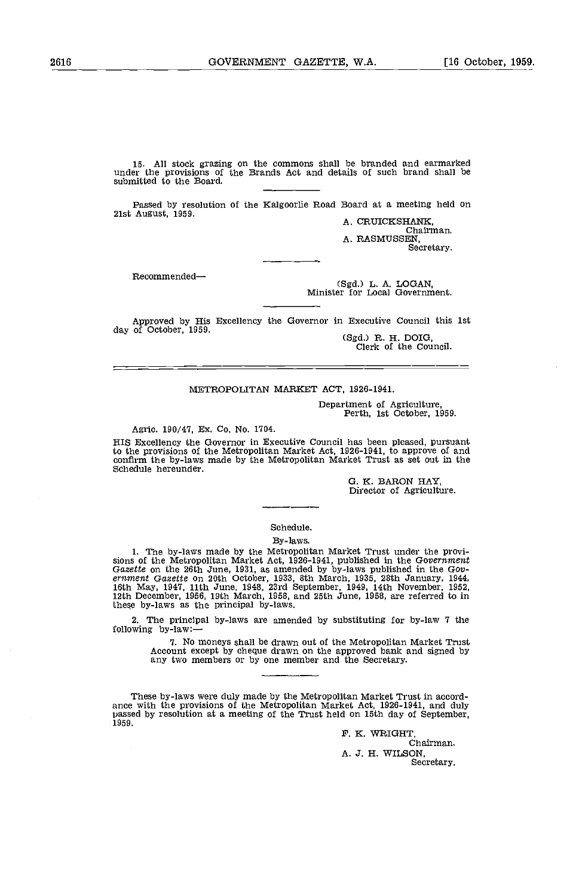15. All stock grazing on the commons shall be branded and earmarked under the provisions of the Brands Act and details of such brand shall be submitted to the Board.

Passed by resolution of the Kalgoorlie Road Board at a meeting held on 21st August, 1959.<br>
A. CRUICKSHANK, Chairman.

Chairman.<br>A. RASMUSSEN, Secretary.

Recommended

(Sgd.) L. A. LOGAN, Minister for Local Government.

Approved by His Excellency the Governor in Executive Council this 1st day of October, 1959. (Sgd.) R. H. DOIG, Clerk of the Council.

# METROPOLITAN MARKET ACT, 1926-1941.

Department of Agriculture, Perth, 1st October, 1959.

Agric. 190/47, Ex. Co. No. 1704.

HIS Excellency the Governor in Executive Council has been pleased, pursuant to the provisions of the Metropolitan Market Act, 1926-1941, to approve of and confirm the by-laws made by the Metropolitan Market Trust as set out in the Schedule hereunder.

0. K. BARON HAY, Director of Agriculture.

# Schedule.

# By-laws.

1. The by-laws made by the Metropolitan Market Trust under the provisions of the Metropolitan Market Act, 1926-1941, published in the Government Gazette on the 26th June, 1931, as annended by by-laws published in the Gove these by-laws as the principal by-laws.

The principal by-laws are amended by substituting for by-law 7 the 2 following by-law:-

> 7. No moneys shall be drawn out of the Metropolitan Market Trust Account except by cheque drawn on the approved bank and signed by any two members or by one member and the Secretary.

These by-laws were duly made by the Metropolitan Market Trust in accordance with the provisions of the Metropolitan Market Act, 1926-1941, and duly passed by resolution at a meeting of the Trust held on 15th day of Septemb 1959.

> F. K. WRIGHT, Chairman. A. J, H. WILSON, Secretary.